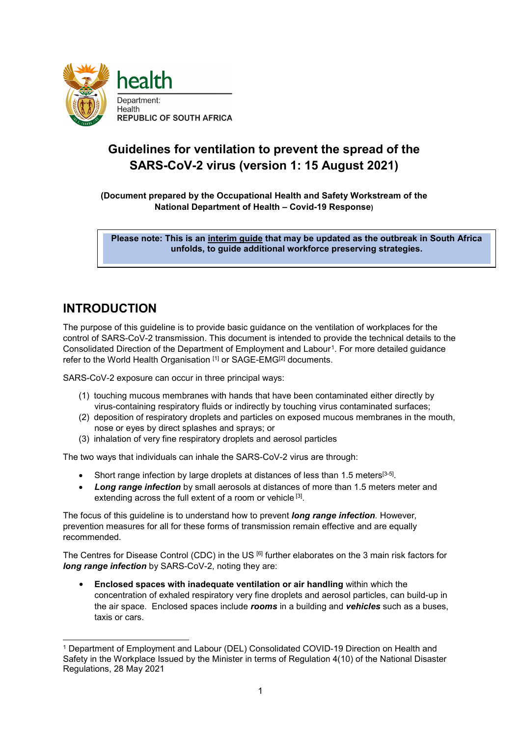

# **Guidelines for ventilation to prevent the spread of the SARS-CoV-2 virus (version 1: 15 August 2021)**

**(Document prepared by the Occupational Health and Safety Workstream of the National Department of Health – Covid-19 Response)**

**Please note: This is an interim guide that may be updated as the outbreak in South Africa unfolds, to guide additional workforce preserving strategies.**

## **INTRODUCTION**

The purpose of this guideline is to provide basic guidance on the ventilation of workplaces for the control of SARS-CoV-2 transmission. This document is intended to provide the technical details to the Consolidated Direction of the Department of Employment and Labour<sup>[1](#page-0-0)</sup>. For more detailed guidance refer to the World Health Organisation [1] or SAGE-EMG<sup>[2]</sup> documents.

SARS-CoV-2 exposure can occur in three principal ways:

- (1) touching mucous membranes with hands that have been contaminated either directly by virus-containing respiratory fluids or indirectly by touching virus contaminated surfaces;
- (2) deposition of respiratory droplets and particles on exposed mucous membranes in the mouth, nose or eyes by direct splashes and sprays; or
- (3) inhalation of very fine respiratory droplets and aerosol particles

The two ways that individuals can inhale the SARS-CoV-2 virus are through:

- Short range infection by large droplets at distances of less than 1.5 meters<sup>[3-5]</sup>.
- *Long range infection* by small aerosols at distances of more than 1.5 meters meter and extending across the full extent of a room or vehicle [3].

The focus of this guideline is to understand how to prevent *long range infection.* However*,* prevention measures for all for these forms of transmission remain effective and are equally recommended.

The Centres for Disease Control (CDC) in the US [6] further elaborates on the 3 main risk factors for *long range infection* by SARS-CoV-2, noting they are:

• **Enclosed spaces with inadequate ventilation or air handling** within which the concentration of exhaled respiratory very fine droplets and aerosol particles, can build-up in the air space. Enclosed spaces include *rooms* in a building and *vehicles* such as a buses, taxis or cars.

<span id="page-0-0"></span> <sup>1</sup> Department of Employment and Labour (DEL) Consolidated COVID-19 Direction on Health and Safety in the Workplace Issued by the Minister in terms of Regulation 4(10) of the National Disaster Regulations, 28 May 2021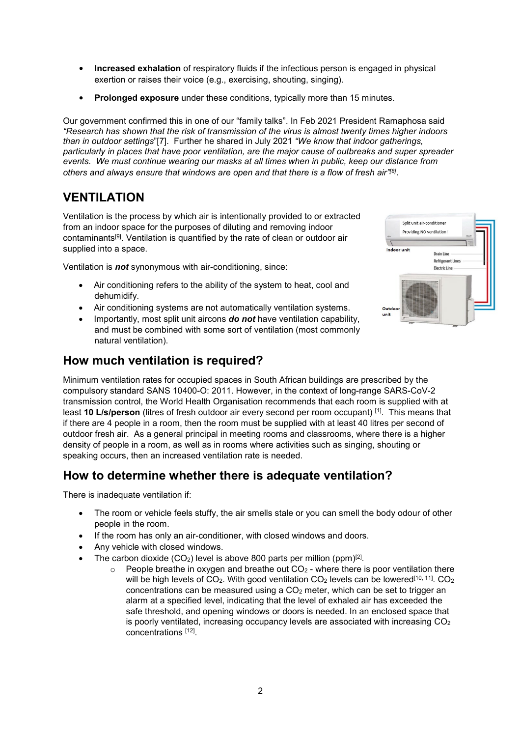- **Increased exhalation** of respiratory fluids if the infectious person is engaged in physical exertion or raises their voice (e.g., exercising, shouting, singing).
- **Prolonged exposure** under these conditions, typically more than 15 minutes.

Our government confirmed this in one of our "family talks". In Feb 2021 President Ramaphosa said *"Research has shown that the risk of transmission of the virus is almost twenty times higher indoors than in outdoor settings*"[7]. Further he shared in July 2021 *"We know that indoor gatherings, particularly in places that have poor ventilation, are the major cause of outbreaks and super spreader events. We must continue wearing our masks at all times when in public, keep our distance from others and always ensure that windows are open and that there is a flow of fresh air"[8]*.

### **VENTILATION**

Ventilation is the process by which air is intentionally provided to or extracted from an indoor space for the purposes of diluting and removing indoor contaminants[9]. Ventilation is quantified by the rate of clean or outdoor air supplied into a space.

Ventilation is *not* synonymous with air-conditioning, since:

- Air conditioning refers to the ability of the system to heat, cool and dehumidify.
- Air conditioning systems are not automatically ventilation systems.
- Importantly, most split unit aircons *do not* have ventilation capability, and must be combined with some sort of ventilation (most commonly natural ventilation).

# Solit unit air-conditioner Providing NO ventilation **Truck Drain Line Refrigerant Lines** Electric Line

### **How much ventilation is required?**

Minimum ventilation rates for occupied spaces in South African buildings are prescribed by the compulsory standard SANS 10400-O: 2011. However, in the context of long-range SARS-CoV-2 transmission control, the World Health Organisation recommends that each room is supplied with at least **10 L/s/person** (litres of fresh outdoor air every second per room occupant) [1]. This means that if there are 4 people in a room, then the room must be supplied with at least 40 litres per second of outdoor fresh air. As a general principal in meeting rooms and classrooms, where there is a higher density of people in a room, as well as in rooms where activities such as singing, shouting or speaking occurs, then an increased ventilation rate is needed.

### **How to determine whether there is adequate ventilation?**

There is inadequate ventilation if:

- The room or vehicle feels stuffy, the air smells stale or you can smell the body odour of other people in the room.
- If the room has only an air-conditioner, with closed windows and doors.
- Any vehicle with closed windows.
- The carbon dioxide  $(CO_2)$  level is above 800 parts per million (ppm)<sup>[2]</sup>.
	- $\circ$  People breathe in oxygen and breathe out CO<sub>2</sub> where there is poor ventilation there will be high levels of  $CO<sub>2</sub>$ . With good ventilation  $CO<sub>2</sub>$  levels can be lowered<sup>[10, 11]</sup>.  $CO<sub>2</sub>$ concentrations can be measured using a CO2 meter, which can be set to trigger an alarm at a specified level, indicating that the level of exhaled air has exceeded the safe threshold, and opening windows or doors is needed. In an enclosed space that is poorly ventilated, increasing occupancy levels are associated with increasing  $CO<sub>2</sub>$ concentrations [12].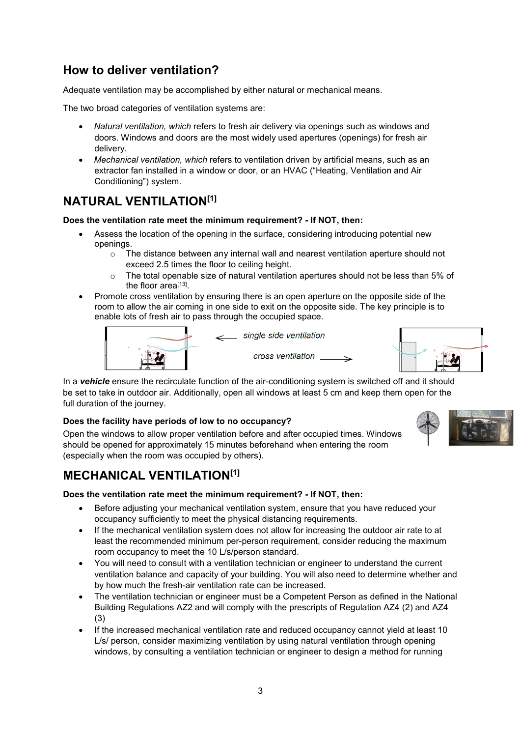### **How to deliver ventilation?**

Adequate ventilation may be accomplished by either natural or mechanical means.

The two broad categories of ventilation systems are:

- *Natural ventilation, which* refers to fresh air delivery via openings such as windows and doors. Windows and doors are the most widely used apertures (openings) for fresh air delivery.
- *Mechanical ventilation, which* refers to ventilation driven by artificial means, such as an extractor fan installed in a window or door, or an HVAC ("Heating, Ventilation and Air Conditioning") system.

### **NATURAL VENTILATION[1]**

#### **Does the ventilation rate meet the minimum requirement? - If NOT, then:**

- Assess the location of the opening in the surface, considering introducing potential new openings.
	- $\circ$  The distance between any internal wall and nearest ventilation aperture should not exceed 2.5 times the floor to ceiling height.
	- o The total openable size of natural ventilation apertures should not be less than 5% of the floor area $[13]$ .
- Promote cross ventilation by ensuring there is an open aperture on the opposite side of the room to allow the air coming in one side to exit on the opposite side. The key principle is to enable lots of fresh air to pass through the occupied space.





In a *vehicle* ensure the recirculate function of the air-conditioning system is switched off and it should be set to take in outdoor air. Additionally, open all windows at least 5 cm and keep them open for the full duration of the journey.

#### **Does the facility have periods of low to no occupancy?**

Open the windows to allow proper ventilation before and after occupied times. Windows should be opened for approximately 15 minutes beforehand when entering the room (especially when the room was occupied by others).

# **MECHANICAL VENTILATION[1]**

#### **Does the ventilation rate meet the minimum requirement? - If NOT, then:**

- Before adjusting your mechanical ventilation system, ensure that you have reduced your occupancy sufficiently to meet the physical distancing requirements.
- If the mechanical ventilation system does not allow for increasing the outdoor air rate to at least the recommended minimum per-person requirement, consider reducing the maximum room occupancy to meet the 10 L/s/person standard.
- You will need to consult with a ventilation technician or engineer to understand the current ventilation balance and capacity of your building. You will also need to determine whether and by how much the fresh-air ventilation rate can be increased.
- The ventilation technician or engineer must be a Competent Person as defined in the National Building Regulations AZ2 and will comply with the prescripts of Regulation AZ4 (2) and AZ4 (3)
- If the increased mechanical ventilation rate and reduced occupancy cannot yield at least 10 L/s/ person, consider maximizing ventilation by using natural ventilation through opening windows, by consulting a ventilation technician or engineer to design a method for running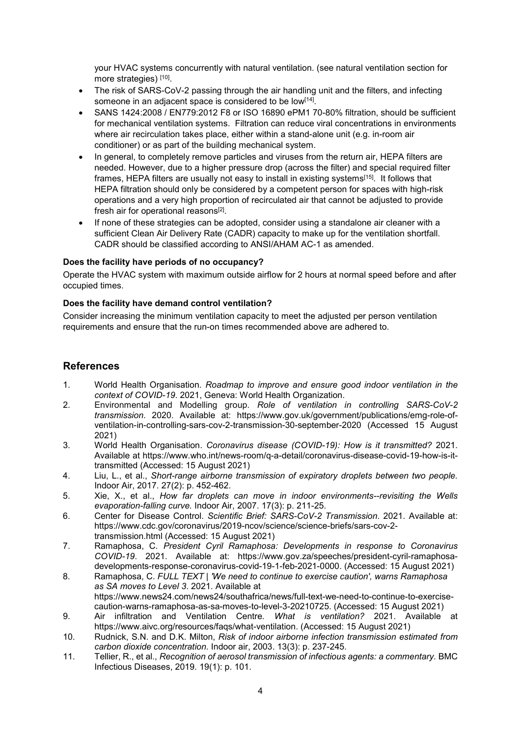your HVAC systems concurrently with natural ventilation. (see natural ventilation section for more strategies) [10].

- The risk of SARS-CoV-2 passing through the air handling unit and the filters, and infecting someone in an adjacent space is considered to be low<sup>[14]</sup>.
- SANS 1424:2008 / EN779:2012 F8 or ISO 16890 ePM1 70-80% filtration, should be sufficient for mechanical ventilation systems. Filtration can reduce viral concentrations in environments where air recirculation takes place, either within a stand-alone unit (e.g. in-room air conditioner) or as part of the building mechanical system.
- In general, to completely remove particles and viruses from the return air, HEPA filters are needed. However, due to a higher pressure drop (across the filter) and special required filter frames, HEPA filters are usually not easy to install in existing systems<sup>[15]</sup>. It follows that HEPA filtration should only be considered by a competent person for spaces with high-risk operations and a very high proportion of recirculated air that cannot be adjusted to provide fresh air for operational reasons<sup>[2]</sup>.
- If none of these strategies can be adopted, consider using a standalone air cleaner with a sufficient Clean Air Delivery Rate (CADR) capacity to make up for the ventilation shortfall. CADR should be classified according to ANSI/AHAM AC-1 as amended.

#### **Does the facility have periods of no occupancy?**

Operate the HVAC system with maximum outside airflow for 2 hours at normal speed before and after occupied times.

#### **Does the facility have demand control ventilation?**

Consider increasing the minimum ventilation capacity to meet the adjusted per person ventilation requirements and ensure that the run-on times recommended above are adhered to.

#### **References**

- 1. World Health Organisation. *Roadmap to improve and ensure good indoor ventilation in the context of COVID-19*. 2021, Geneva: World Health Organization.
- 2. Environmental and Modelling group. *Role of ventilation in controlling SARS-CoV-2 transmission*. 2020. Available at: https://www.gov.uk/government/publications/emg-role-ofventilation-in-controlling-sars-cov-2-transmission-30-september-2020 (Accessed 15 August 2021)
- 3. World Health Organisation. *Coronavirus disease (COVID-19): How is it transmitted?* 2021. Available at https://www.who.int/news-room/q-a-detail/coronavirus-disease-covid-19-how-is-ittransmitted (Accessed: 15 August 2021)
- 4. Liu, L., et al., *Short-range airborne transmission of expiratory droplets between two people.* Indoor Air, 2017. 27(2): p. 452-462.
- 5. Xie, X., et al., *How far droplets can move in indoor environments--revisiting the Wells evaporation-falling curve.* Indoor Air, 2007. 17(3): p. 211-25.
- 6. Center for Disease Control. *Scientific Brief: SARS-CoV-2 Transmission*. 2021. Available at: https://www.cdc.gov/coronavirus/2019-ncov/science/science-briefs/sars-cov-2 transmission.html (Accessed: 15 August 2021)
- 7. Ramaphosa, C. *President Cyril Ramaphosa: Developments in response to Coronavirus COVID-19*. 2021. Available at: https://www.gov.za/speeches/president-cyril-ramaphosadevelopments-response-coronavirus-covid-19-1-feb-2021-0000. (Accessed: 15 August 2021)
- 8. Ramaphosa, C. *FULL TEXT | 'We need to continue to exercise caution', warns Ramaphosa as SA moves to Level 3*. 2021. Available at https://www.news24.com/news24/southafrica/news/full-text-we-need-to-continue-to-exercise-
- caution-warns-ramaphosa-as-sa-moves-to-level-3-20210725. (Accessed: 15 August 2021) 9. Air infiltration and Ventilation Centre*. What is ventilation?* 2021. Available at https://www.aivc.org/resources/faqs/what-ventilation. (Accessed: 15 August 2021)
- 10. Rudnick, S.N. and D.K. Milton, *Risk of indoor airborne infection transmission estimated from carbon dioxide concentration.* Indoor air, 2003. 13(3): p. 237-245.
- 11. Tellier, R., et al., *Recognition of aerosol transmission of infectious agents: a commentary.* BMC Infectious Diseases, 2019. 19(1): p. 101.